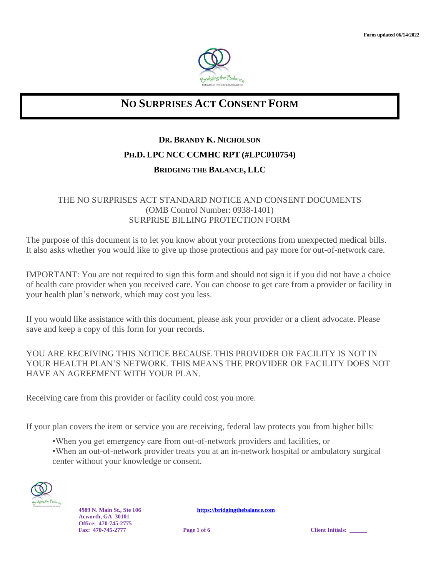

## **NO SURPRISES ACT CONSENT FORM**

# **DR. BRANDY K. NICHOLSON PH.D. LPC NCC CCMHC RPT (#LPC010754)**

### **BRIDGING THE BALANCE, LLC**

#### THE NO SURPRISES ACT STANDARD NOTICE AND CONSENT DOCUMENTS (OMB Control Number: 0938-1401) SURPRISE BILLING PROTECTION FORM

The purpose of this document is to let you know about your protections from unexpected medical bills. It also asks whether you would like to give up those protections and pay more for out-of-network care.

IMPORTANT: You are not required to sign this form and should not sign it if you did not have a choice of health care provider when you received care. You can choose to get care from a provider or facility in your health plan's network, which may cost you less.

If you would like assistance with this document, please ask your provider or a client advocate. Please save and keep a copy of this form for your records.

### YOU ARE RECEIVING THIS NOTICE BECAUSE THIS PROVIDER OR FACILITY IS NOT IN YOUR HEALTH PLAN'S NETWORK. THIS MEANS THE PROVIDER OR FACILITY DOES NOT HAVE AN AGREEMENT WITH YOUR PLAN.

Receiving care from this provider or facility could cost you more.

If your plan covers the item or service you are receiving, federal law protects you from higher bills:

- •When you get emergency care from out-of-network providers and facilities, or
- •When an out-of-network provider treats you at an in-network hospital or ambulatory surgical center without your knowledge or consent.



**Acworth, GA 30101 Office: 470-745-2775**

**4989 N. Main St., Ste 106 [https://bridgingthebalance.com](https://bridgingthebalance.com/)**

**Fage 1** of 6 **Client Initials:**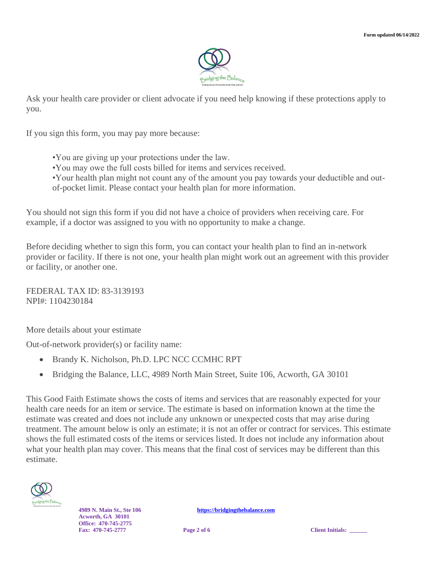

Ask your health care provider or client advocate if you need help knowing if these protections apply to you.

If you sign this form, you may pay more because:

- •You are giving up your protections under the law.
- •You may owe the full costs billed for items and services received.
- •Your health plan might not count any of the amount you pay towards your deductible and outof-pocket limit. Please contact your health plan for more information.

You should not sign this form if you did not have a choice of providers when receiving care. For example, if a doctor was assigned to you with no opportunity to make a change.

Before deciding whether to sign this form, you can contact your health plan to find an in-network provider or facility. If there is not one, your health plan might work out an agreement with this provider or facility, or another one.

FEDERAL TAX ID: 83-3139193 NPI#: 1104230184

More details about your estimate

Out-of-network provider(s) or facility name:

- Brandy K. Nicholson, Ph.D. LPC NCC CCMHC RPT
- Bridging the Balance, LLC, 4989 North Main Street, Suite 106, Acworth, GA 30101

This Good Faith Estimate shows the costs of items and services that are reasonably expected for your health care needs for an item or service. The estimate is based on information known at the time the estimate was created and does not include any unknown or unexpected costs that may arise during treatment. The amount below is only an estimate; it is not an offer or contract for services. This estimate shows the full estimated costs of the items or services listed. It does not include any information about what your health plan may cover. This means that the final cost of services may be different than this estimate.



**Acworth, GA 30101 Office: 470-745-2775**

**4989 N. Main St., Ste 106 [https://bridgingthebalance.com](https://bridgingthebalance.com/)**

**Fage 2** of 6 **Client Initials:**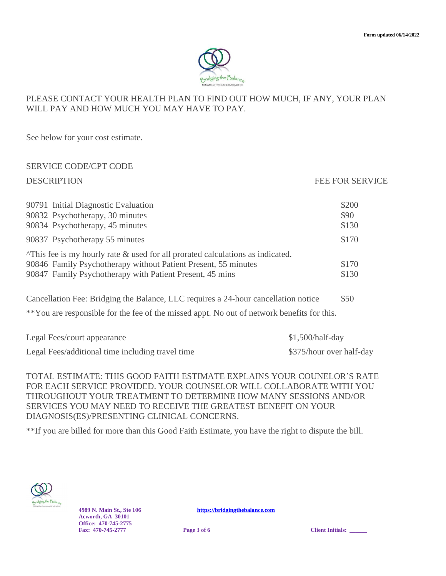

### PLEASE CONTACT YOUR HEALTH PLAN TO FIND OUT HOW MUCH, IF ANY, YOUR PLAN WILL PAY AND HOW MUCH YOU MAY HAVE TO PAY.

See below for your cost estimate.

### SERVICE CODE/CPT CODE

#### DESCRIPTION FEE FOR SERVICE

| 90791 Initial Diagnostic Evaluation<br>90832 Psychotherapy, 30 minutes<br>90834 Psychotherapy, 45 minutes                                                                                                            | \$200<br>\$90<br>\$130 |
|----------------------------------------------------------------------------------------------------------------------------------------------------------------------------------------------------------------------|------------------------|
| 90837 Psychotherapy 55 minutes                                                                                                                                                                                       | \$170                  |
| $\gamma$ This fee is my hourly rate & used for all prorated calculations as indicated.<br>90846 Family Psychotherapy without Patient Present, 55 minutes<br>90847 Family Psychotherapy with Patient Present, 45 mins | \$170<br>\$130         |

Cancellation Fee: Bridging the Balance, LLC requires a 24-hour cancellation notice \$50

\*\*You are responsible for the fee of the missed appt. No out of network benefits for this.

| Legal Fees/court appearance                      | $$1,500/half-day$        |
|--------------------------------------------------|--------------------------|
| Legal Fees/additional time including travel time | \$375/hour over half-day |

TOTAL ESTIMATE: THIS GOOD FAITH ESTIMATE EXPLAINS YOUR COUNELOR'S RATE FOR EACH SERVICE PROVIDED. YOUR COUNSELOR WILL COLLABORATE WITH YOU THROUGHOUT YOUR TREATMENT TO DETERMINE HOW MANY SESSIONS AND/OR SERVICES YOU MAY NEED TO RECEIVE THE GREATEST BENEFIT ON YOUR DIAGNOSIS(ES)/PRESENTING CLINICAL CONCERNS.

\*\*If you are billed for more than this Good Faith Estimate, you have the right to dispute the bill.



**Acworth, GA 30101 Office: 470-745-2775 Fax: 470-745-2777 Page 3** of 6 **Client Initials:**  $\bullet$  **Client Initials:** 

**4989 N. Main St., Ste 106 [https://bridgingthebalance.com](https://bridgingthebalance.com/)**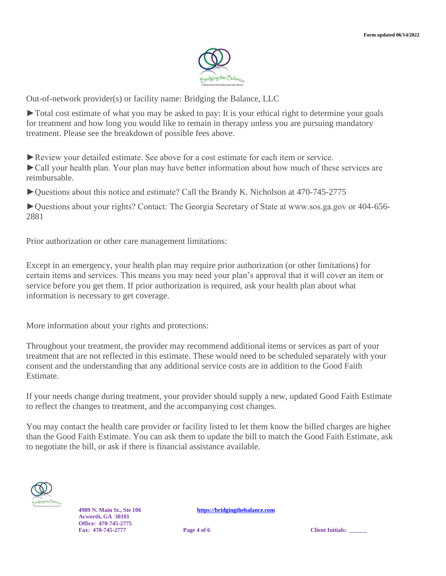

Out-of-network provider(s) or facility name: Bridging the Balance, LLC

►Total cost estimate of what you may be asked to pay: It is your ethical right to determine your goals for treatment and how long you would like to remain in therapy unless you are pursuing mandatory treatment. Please see the breakdown of possible fees above.

►Review your detailed estimate. See above for a cost estimate for each item or service. ►Call your health plan. Your plan may have better information about how much of these services are reimbursable.

►Questions about this notice and estimate? Call the Brandy K. Nicholson at 470-745-2775

►Questions about your rights? Contact: The Georgia Secretary of State at www.sos.ga.gov or 404-656- 2881

Prior authorization or other care management limitations:

Except in an emergency, your health plan may require prior authorization (or other limitations) for certain items and services. This means you may need your plan's approval that it will cover an item or service before you get them. If prior authorization is required, ask your health plan about what information is necessary to get coverage.

More information about your rights and protections:

Throughout your treatment, the provider may recommend additional items or services as part of your treatment that are not reflected in this estimate. These would need to be scheduled separately with your consent and the understanding that any additional service costs are in addition to the Good Faith Estimate.

If your needs change during treatment, your provider should supply a new, updated Good Faith Estimate to reflect the changes to treatment, and the accompanying cost changes.

You may contact the health care provider or facility listed to let them know the billed charges are higher than the Good Faith Estimate. You can ask them to update the bill to match the Good Faith Estimate, ask to negotiate the bill, or ask if there is financial assistance available.



**Acworth, GA 30101 Office: 470-745-2775**

**4989 N. Main St., Ste 106 [https://bridgingthebalance.com](https://bridgingthebalance.com/)**

**Fage 4** of 6 **Client Initials:**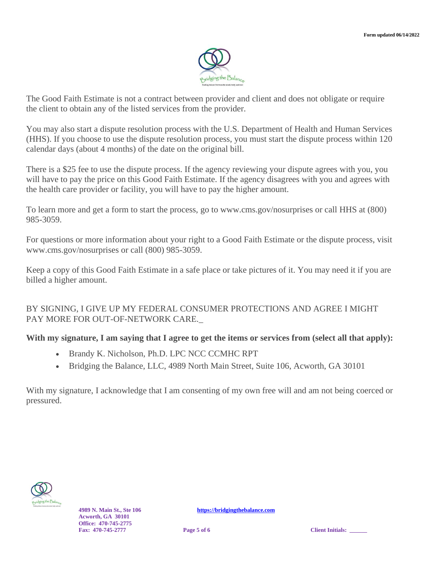

The Good Faith Estimate is not a contract between provider and client and does not obligate or require the client to obtain any of the listed services from the provider.

You may also start a dispute resolution process with the U.S. Department of Health and Human Services (HHS). If you choose to use the dispute resolution process, you must start the dispute process within 120 calendar days (about 4 months) of the date on the original bill.

There is a \$25 fee to use the dispute process. If the agency reviewing your dispute agrees with you, you will have to pay the price on this Good Faith Estimate. If the agency disagrees with you and agrees with the health care provider or facility, you will have to pay the higher amount.

To learn more and get a form to start the process, go to www.cms.gov/nosurprises or call HHS at (800) 985-3059.

For questions or more information about your right to a Good Faith Estimate or the dispute process, visit www.cms.gov/nosurprises or call (800) 985-3059.

Keep a copy of this Good Faith Estimate in a safe place or take pictures of it. You may need it if you are billed a higher amount.

#### BY SIGNING, I GIVE UP MY FEDERAL CONSUMER PROTECTIONS AND AGREE I MIGHT PAY MORE FOR OUT-OF-NETWORK CARE.\_

#### **With my signature, I am saying that I agree to get the items or services from (select all that apply):**

- Brandy K. Nicholson, Ph.D. LPC NCC CCMHC RPT
- Bridging the Balance, LLC, 4989 North Main Street, Suite 106, Acworth, GA 30101

With my signature, I acknowledge that I am consenting of my own free will and am not being coerced or pressured.



**Acworth, GA 30101 Office: 470-745-2775**

**4989 N. Main St., Ste 106 [https://bridgingthebalance.com](https://bridgingthebalance.com/)**

**Fage 5** of 6 **Client Initials:**